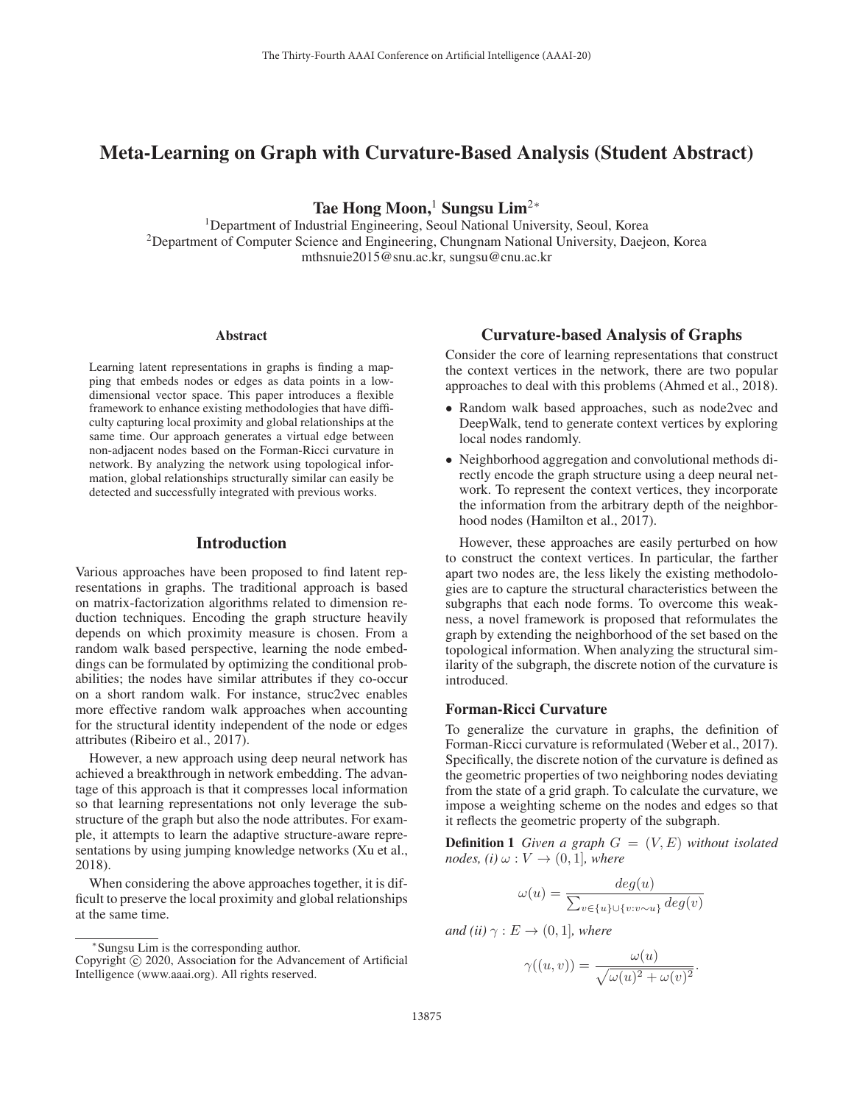# Meta-Learning on Graph with Curvature-Based Analysis (Student Abstract)

Tae Hong Moon,<sup>1</sup> Sungsu Lim<sup>2∗</sup>

<sup>1</sup>Department of Industrial Engineering, Seoul National University, Seoul, Korea 2Department of Computer Science and Engineering, Chungnam National University, Daejeon, Korea mthsnuie2015@snu.ac.kr, sungsu@cnu.ac.kr

#### Abstract

Learning latent representations in graphs is finding a mapping that embeds nodes or edges as data points in a lowdimensional vector space. This paper introduces a flexible framework to enhance existing methodologies that have difficulty capturing local proximity and global relationships at the same time. Our approach generates a virtual edge between non-adjacent nodes based on the Forman-Ricci curvature in network. By analyzing the network using topological information, global relationships structurally similar can easily be detected and successfully integrated with previous works.

# Introduction

Various approaches have been proposed to find latent representations in graphs. The traditional approach is based on matrix-factorization algorithms related to dimension reduction techniques. Encoding the graph structure heavily depends on which proximity measure is chosen. From a random walk based perspective, learning the node embeddings can be formulated by optimizing the conditional probabilities; the nodes have similar attributes if they co-occur on a short random walk. For instance, struc2vec enables more effective random walk approaches when accounting for the structural identity independent of the node or edges attributes (Ribeiro et al., 2017).

However, a new approach using deep neural network has achieved a breakthrough in network embedding. The advantage of this approach is that it compresses local information so that learning representations not only leverage the substructure of the graph but also the node attributes. For example, it attempts to learn the adaptive structure-aware representations by using jumping knowledge networks (Xu et al., 2018).

When considering the above approaches together, it is difficult to preserve the local proximity and global relationships at the same time.

### Curvature-based Analysis of Graphs

Consider the core of learning representations that construct the context vertices in the network, there are two popular approaches to deal with this problems (Ahmed et al., 2018).

- Random walk based approaches, such as node2vec and DeepWalk, tend to generate context vertices by exploring local nodes randomly.
- Neighborhood aggregation and convolutional methods directly encode the graph structure using a deep neural network. To represent the context vertices, they incorporate the information from the arbitrary depth of the neighborhood nodes (Hamilton et al., 2017).

However, these approaches are easily perturbed on how to construct the context vertices. In particular, the farther apart two nodes are, the less likely the existing methodologies are to capture the structural characteristics between the subgraphs that each node forms. To overcome this weakness, a novel framework is proposed that reformulates the graph by extending the neighborhood of the set based on the topological information. When analyzing the structural similarity of the subgraph, the discrete notion of the curvature is introduced.

### Forman-Ricci Curvature

To generalize the curvature in graphs, the definition of Forman-Ricci curvature is reformulated (Weber et al., 2017). Specifically, the discrete notion of the curvature is defined as the geometric properties of two neighboring nodes deviating from the state of a grid graph. To calculate the curvature, we impose a weighting scheme on the nodes and edges so that it reflects the geometric property of the subgraph.

**Definition 1** *Given a graph*  $G = (V, E)$  *without isolated nodes, (i)*  $\omega: V \rightarrow (0, 1]$ *, where* 

$$
\omega(u) = \frac{deg(u)}{\sum_{v \in \{u\} \cup \{v : v \sim u\}} deg(v)}
$$

*and (ii)*  $\gamma : E \to (0, 1]$ *, where* 

$$
\gamma((u,v)) = \frac{\omega(u)}{\sqrt{\omega(u)^2 + \omega(v)^2}}.
$$

<sup>∗</sup>Sungsu Lim is the corresponding author.

Copyright  $\odot$  2020, Association for the Advancement of Artificial Intelligence (www.aaai.org). All rights reserved.